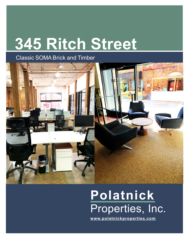# **345 Ritch Street**

### Classic SOMABrick and Timber



## **Polatnick** Properties, Inc.

**[www.polatnickproperties.com](http://www.polatnickproperties.com/)**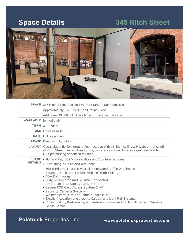### **Space Details 345 Ritch Street**



**Polatnick** Properties, Inc. **[www.polatnickproperties.com](http://www.polatnickproperties.com/)**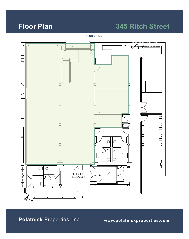### **Floor Plan 345 Ritch Street**

**RITCH STREET**



**Polatnick** Properties, Inc. **[www.polatnickproperties.com](http://www.polatnickproperties.com/)**